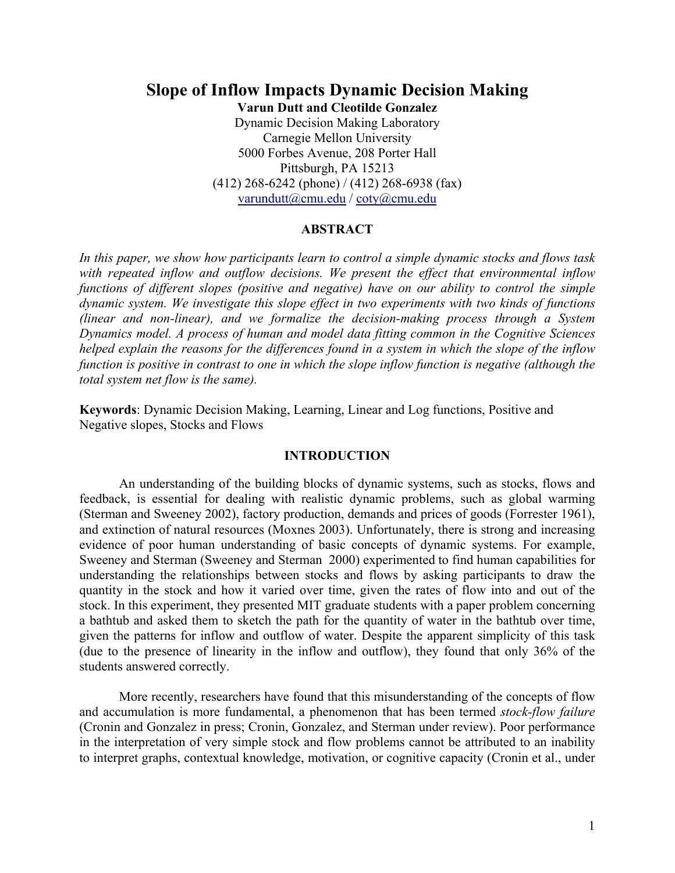# **Slope of Inflow Impacts Dynamic Decision Making Varun Dutt and Cleotilde Gonzalez**

Dynamic Decision Making Laboratory Carnegie Mellon University 5000 Forbes Avenue, 208 Porter Hall Pittsburgh, PA 15213 (412) 268-6242 (phone) / (412) 268-6938 (fax) varundutt@cmu.edu / coty@cmu.edu

# **ABSTRACT**

*In this paper, we show how participants learn to control a simple dynamic stocks and flows task with repeated inflow and outflow decisions. We present the effect that environmental inflow functions of different slopes (positive and negative) have on our ability to control the simple dynamic system. We investigate this slope effect in two experiments with two kinds of functions (linear and non-linear), and we formalize the decision-making process through a System Dynamics model. A process of human and model data fitting common in the Cognitive Sciences helped explain the reasons for the differences found in a system in which the slope of the inflow function is positive in contrast to one in which the slope inflow function is negative (although the total system net flow is the same).* 

**Keywords**: Dynamic Decision Making, Learning, Linear and Log functions, Positive and Negative slopes, Stocks and Flows

# **INTRODUCTION**

An understanding of the building blocks of dynamic systems, such as stocks, flows and feedback, is essential for dealing with realistic dynamic problems, such as global warming (Sterman and Sweeney 2002), factory production, demands and prices of goods (Forrester 1961), and extinction of natural resources (Moxnes 2003). Unfortunately, there is strong and increasing evidence of poor human understanding of basic concepts of dynamic systems. For example, Sweeney and Sterman (Sweeney and Sterman 2000) experimented to find human capabilities for understanding the relationships between stocks and flows by asking participants to draw the quantity in the stock and how it varied over time, given the rates of flow into and out of the stock. In this experiment, they presented MIT graduate students with a paper problem concerning a bathtub and asked them to sketch the path for the quantity of water in the bathtub over time, given the patterns for inflow and outflow of water. Despite the apparent simplicity of this task (due to the presence of linearity in the inflow and outflow), they found that only 36% of the students answered correctly.

More recently, researchers have found that this misunderstanding of the concepts of flow and accumulation is more fundamental, a phenomenon that has been termed *stock-flow failure*  (Cronin and Gonzalez in press; Cronin, Gonzalez, and Sterman under review). Poor performance in the interpretation of very simple stock and flow problems cannot be attributed to an inability to interpret graphs, contextual knowledge, motivation, or cognitive capacity (Cronin et al., under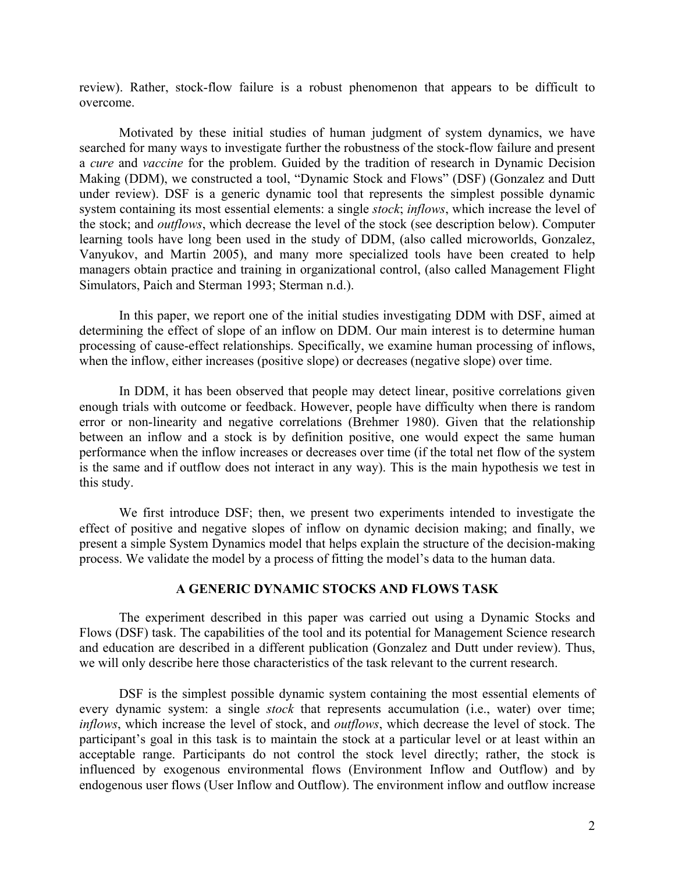review). Rather, stock-flow failure is a robust phenomenon that appears to be difficult to overcome.

Motivated by these initial studies of human judgment of system dynamics, we have searched for many ways to investigate further the robustness of the stock-flow failure and present a *cure* and *vaccine* for the problem. Guided by the tradition of research in Dynamic Decision Making (DDM), we constructed a tool, "Dynamic Stock and Flows" (DSF) (Gonzalez and Dutt under review). DSF is a generic dynamic tool that represents the simplest possible dynamic system containing its most essential elements: a single *stock*; *inflows*, which increase the level of the stock; and *outflows*, which decrease the level of the stock (see description below). Computer learning tools have long been used in the study of DDM, (also called microworlds, Gonzalez, Vanyukov, and Martin 2005), and many more specialized tools have been created to help managers obtain practice and training in organizational control, (also called Management Flight Simulators, Paich and Sterman 1993; Sterman n.d.).

In this paper, we report one of the initial studies investigating DDM with DSF, aimed at determining the effect of slope of an inflow on DDM. Our main interest is to determine human processing of cause-effect relationships. Specifically, we examine human processing of inflows, when the inflow, either increases (positive slope) or decreases (negative slope) over time.

In DDM, it has been observed that people may detect linear, positive correlations given enough trials with outcome or feedback. However, people have difficulty when there is random error or non-linearity and negative correlations (Brehmer 1980). Given that the relationship between an inflow and a stock is by definition positive, one would expect the same human performance when the inflow increases or decreases over time (if the total net flow of the system is the same and if outflow does not interact in any way). This is the main hypothesis we test in this study.

We first introduce DSF; then, we present two experiments intended to investigate the effect of positive and negative slopes of inflow on dynamic decision making; and finally, we present a simple System Dynamics model that helps explain the structure of the decision-making process. We validate the model by a process of fitting the model's data to the human data.

## **A GENERIC DYNAMIC STOCKS AND FLOWS TASK**

The experiment described in this paper was carried out using a Dynamic Stocks and Flows (DSF) task. The capabilities of the tool and its potential for Management Science research and education are described in a different publication (Gonzalez and Dutt under review). Thus, we will only describe here those characteristics of the task relevant to the current research.

DSF is the simplest possible dynamic system containing the most essential elements of every dynamic system: a single *stock* that represents accumulation (i.e., water) over time; *inflows*, which increase the level of stock, and *outflows*, which decrease the level of stock. The participant's goal in this task is to maintain the stock at a particular level or at least within an acceptable range. Participants do not control the stock level directly; rather, the stock is influenced by exogenous environmental flows (Environment Inflow and Outflow) and by endogenous user flows (User Inflow and Outflow). The environment inflow and outflow increase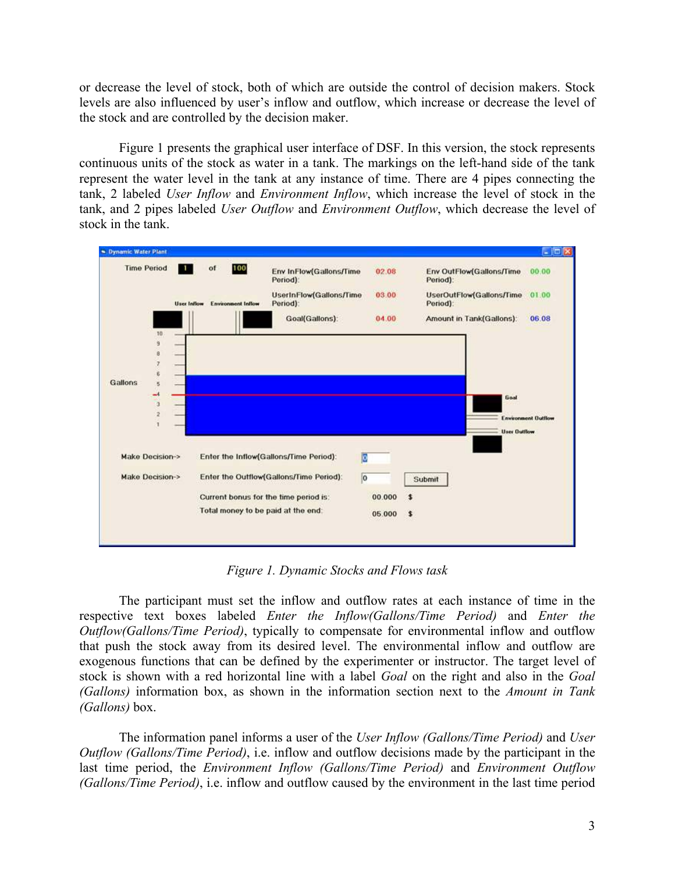or decrease the level of stock, both of which are outside the control of decision makers. Stock levels are also influenced by user's inflow and outflow, which increase or decrease the level of the stock and are controlled by the decision maker.

Figure 1 presents the graphical user interface of DSF. In this version, the stock represents continuous units of the stock as water in a tank. The markings on the left-hand side of the tank represent the water level in the tank at any instance of time. There are 4 pipes connecting the tank, 2 labeled *User Inflow* and *Environment Inflow*, which increase the level of stock in the tank, and 2 pipes labeled *User Outflow* and *Environment Outflow*, which decrease the level of stock in the tank.



*Figure 1. Dynamic Stocks and Flows task* 

The participant must set the inflow and outflow rates at each instance of time in the respective text boxes labeled *Enter the Inflow(Gallons/Time Period)* and *Enter the Outflow(Gallons/Time Period)*, typically to compensate for environmental inflow and outflow that push the stock away from its desired level. The environmental inflow and outflow are exogenous functions that can be defined by the experimenter or instructor. The target level of stock is shown with a red horizontal line with a label *Goal* on the right and also in the *Goal (Gallons)* information box, as shown in the information section next to the *Amount in Tank (Gallons)* box.

The information panel informs a user of the *User Inflow (Gallons/Time Period)* and *User Outflow (Gallons/Time Period)*, i.e. inflow and outflow decisions made by the participant in the last time period, the *Environment Inflow (Gallons/Time Period)* and *Environment Outflow (Gallons/Time Period)*, i.e. inflow and outflow caused by the environment in the last time period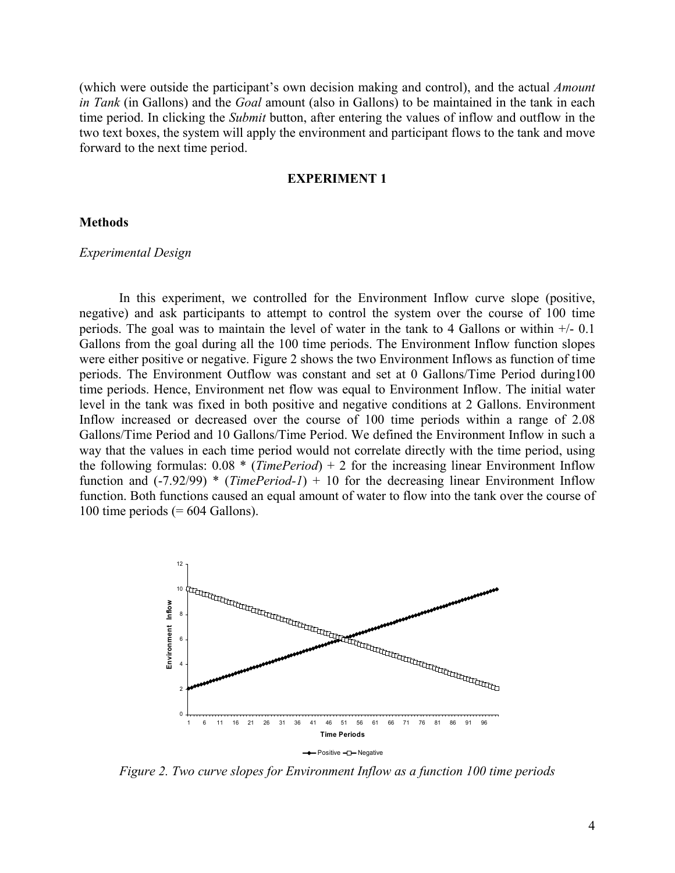(which were outside the participant's own decision making and control), and the actual *Amount in Tank* (in Gallons) and the *Goal* amount (also in Gallons) to be maintained in the tank in each time period. In clicking the *Submit* button, after entering the values of inflow and outflow in the two text boxes, the system will apply the environment and participant flows to the tank and move forward to the next time period.

### **EXPERIMENT 1**

### **Methods**

#### *Experimental Design*

In this experiment, we controlled for the Environment Inflow curve slope (positive, negative) and ask participants to attempt to control the system over the course of 100 time periods. The goal was to maintain the level of water in the tank to 4 Gallons or within  $+/- 0.1$ Gallons from the goal during all the 100 time periods. The Environment Inflow function slopes were either positive or negative. Figure 2 shows the two Environment Inflows as function of time periods. The Environment Outflow was constant and set at 0 Gallons/Time Period during100 time periods. Hence, Environment net flow was equal to Environment Inflow. The initial water level in the tank was fixed in both positive and negative conditions at 2 Gallons. Environment Inflow increased or decreased over the course of 100 time periods within a range of 2.08 Gallons/Time Period and 10 Gallons/Time Period. We defined the Environment Inflow in such a way that the values in each time period would not correlate directly with the time period, using the following formulas: 0.08 \* (*TimePeriod*) + 2 for the increasing linear Environment Inflow function and (-7.92/99) \* (*TimePeriod-1*) + 10 for the decreasing linear Environment Inflow function. Both functions caused an equal amount of water to flow into the tank over the course of 100 time periods  $(= 604$  Gallons).



*Figure 2. Two curve slopes for Environment Inflow as a function 100 time periods*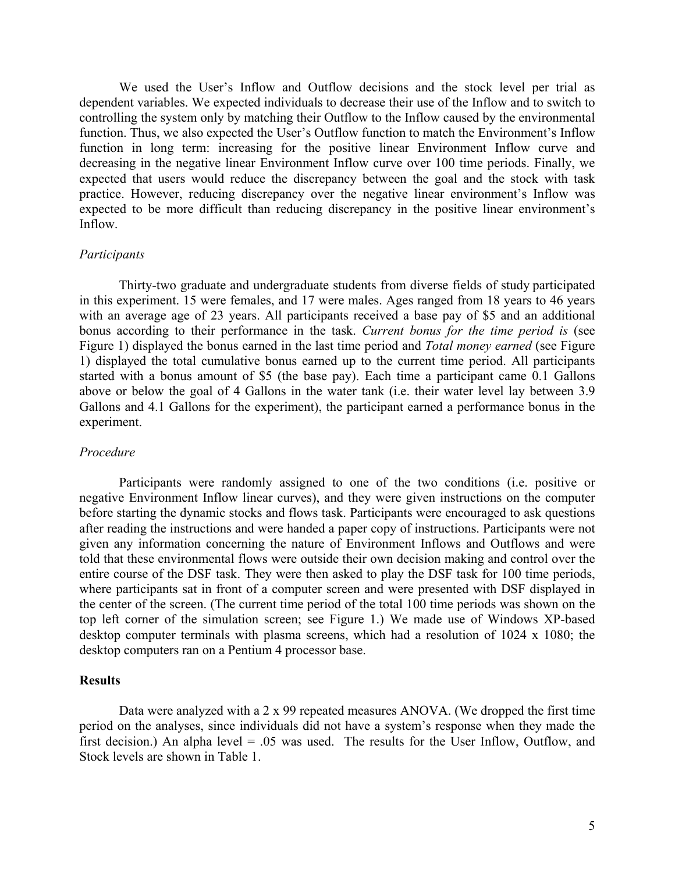We used the User's Inflow and Outflow decisions and the stock level per trial as dependent variables. We expected individuals to decrease their use of the Inflow and to switch to controlling the system only by matching their Outflow to the Inflow caused by the environmental function. Thus, we also expected the User's Outflow function to match the Environment's Inflow function in long term: increasing for the positive linear Environment Inflow curve and decreasing in the negative linear Environment Inflow curve over 100 time periods. Finally, we expected that users would reduce the discrepancy between the goal and the stock with task practice. However, reducing discrepancy over the negative linear environment's Inflow was expected to be more difficult than reducing discrepancy in the positive linear environment's Inflow.

### *Participants*

Thirty-two graduate and undergraduate students from diverse fields of study participated in this experiment. 15 were females, and 17 were males. Ages ranged from 18 years to 46 years with an average age of 23 years. All participants received a base pay of \$5 and an additional bonus according to their performance in the task. *Current bonus for the time period is* (see Figure 1) displayed the bonus earned in the last time period and *Total money earned* (see Figure 1) displayed the total cumulative bonus earned up to the current time period. All participants started with a bonus amount of \$5 (the base pay). Each time a participant came 0.1 Gallons above or below the goal of 4 Gallons in the water tank (i.e. their water level lay between 3.9 Gallons and 4.1 Gallons for the experiment), the participant earned a performance bonus in the experiment.

#### *Procedure*

Participants were randomly assigned to one of the two conditions (i.e. positive or negative Environment Inflow linear curves), and they were given instructions on the computer before starting the dynamic stocks and flows task. Participants were encouraged to ask questions after reading the instructions and were handed a paper copy of instructions. Participants were not given any information concerning the nature of Environment Inflows and Outflows and were told that these environmental flows were outside their own decision making and control over the entire course of the DSF task. They were then asked to play the DSF task for 100 time periods, where participants sat in front of a computer screen and were presented with DSF displayed in the center of the screen. (The current time period of the total 100 time periods was shown on the top left corner of the simulation screen; see Figure 1.) We made use of Windows XP-based desktop computer terminals with plasma screens, which had a resolution of 1024 x 1080; the desktop computers ran on a Pentium 4 processor base.

# **Results**

Data were analyzed with a 2 x 99 repeated measures ANOVA. (We dropped the first time period on the analyses, since individuals did not have a system's response when they made the first decision.) An alpha level  $= .05$  was used. The results for the User Inflow, Outflow, and Stock levels are shown in Table 1.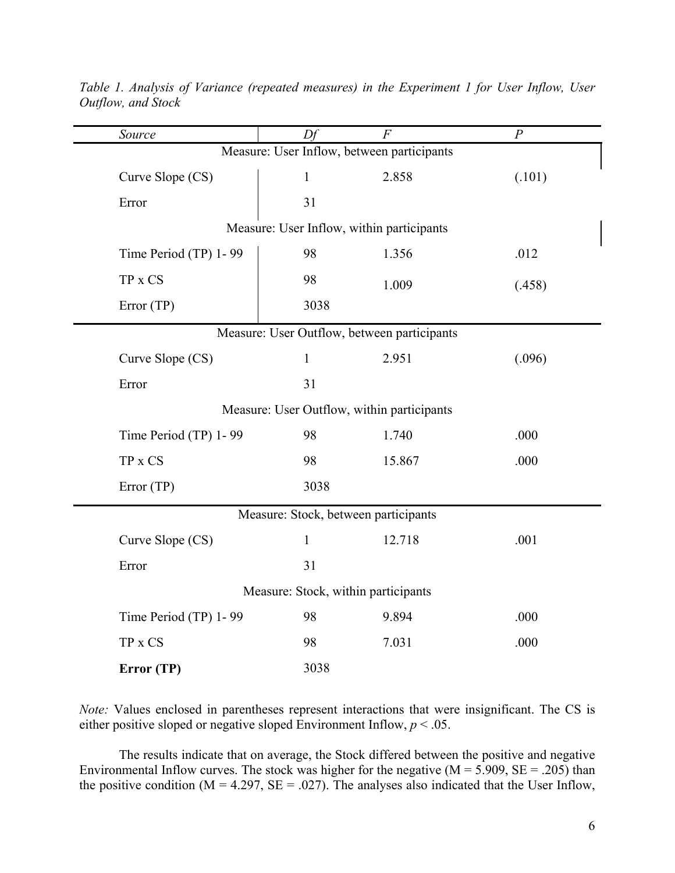| Source                | Df                                  | $\overline{F}$                              | $\overline{P}$ |  |
|-----------------------|-------------------------------------|---------------------------------------------|----------------|--|
|                       |                                     | Measure: User Inflow, between participants  |                |  |
| Curve Slope (CS)      | $\mathbf{1}$                        | 2.858                                       | (.101)         |  |
| Error                 | 31                                  |                                             |                |  |
|                       |                                     | Measure: User Inflow, within participants   |                |  |
| Time Period (TP) 1-99 | 98                                  | 1.356                                       | .012           |  |
| TP x CS               | 98                                  | 1.009                                       | (.458)         |  |
| Error (TP)            | 3038                                |                                             |                |  |
|                       |                                     | Measure: User Outflow, between participants |                |  |
| Curve Slope (CS)      | $\mathbf{1}$                        | 2.951                                       | (.096)         |  |
| Error                 | 31                                  |                                             |                |  |
|                       |                                     | Measure: User Outflow, within participants  |                |  |
| Time Period (TP) 1-99 | 98                                  | 1.740                                       | .000           |  |
| $TP$ x $CS$           | 98                                  | 15.867                                      | .000           |  |
| Error (TP)            | 3038                                |                                             |                |  |
|                       |                                     | Measure: Stock, between participants        |                |  |
| Curve Slope (CS)      | $\mathbf{1}$                        | 12.718                                      | .001           |  |
| Error                 | 31                                  |                                             |                |  |
|                       | Measure: Stock, within participants |                                             |                |  |
| Time Period (TP) 1-99 | 98                                  | 9.894                                       | .000           |  |
| TP x CS               | 98                                  | 7.031                                       | .000           |  |
| Error (TP)            | 3038                                |                                             |                |  |

*Table 1. Analysis of Variance (repeated measures) in the Experiment 1 for User Inflow, User Outflow, and Stock* 

*Note:* Values enclosed in parentheses represent interactions that were insignificant. The CS is either positive sloped or negative sloped Environment Inflow,  $p < 0.05$ .

The results indicate that on average, the Stock differed between the positive and negative Environmental Inflow curves. The stock was higher for the negative  $(M = 5.909, SE = .205)$  than the positive condition ( $M = 4.297$ ,  $SE = .027$ ). The analyses also indicated that the User Inflow,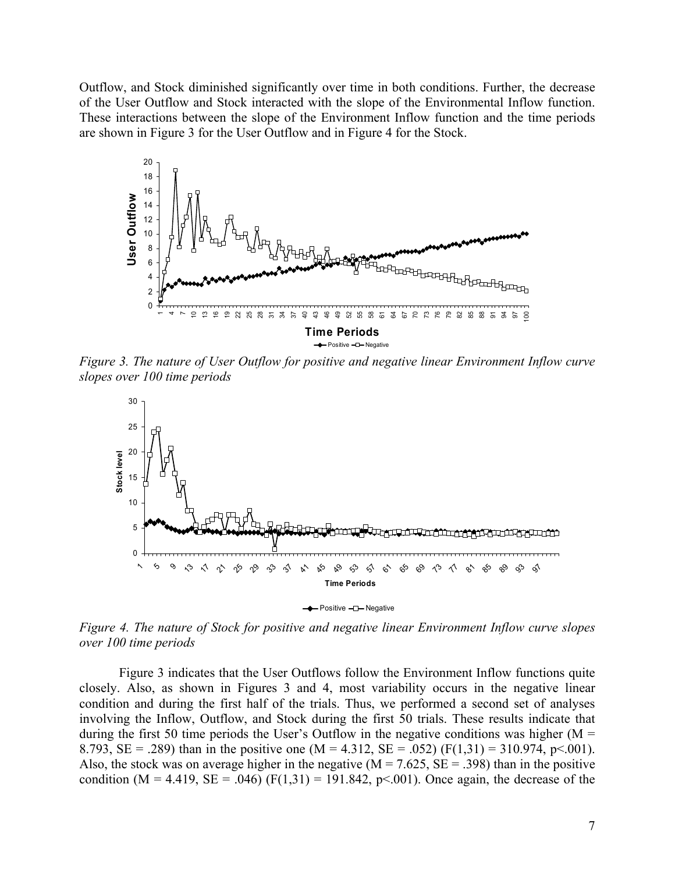Outflow, and Stock diminished significantly over time in both conditions. Further, the decrease of the User Outflow and Stock interacted with the slope of the Environmental Inflow function. These interactions between the slope of the Environment Inflow function and the time periods are shown in Figure 3 for the User Outflow and in Figure 4 for the Stock.



*Figure 3. The nature of User Outflow for positive and negative linear Environment Inflow curve slopes over 100 time periods* 



*Figure 4. The nature of Stock for positive and negative linear Environment Inflow curve slopes over 100 time periods* 

Figure 3 indicates that the User Outflows follow the Environment Inflow functions quite closely. Also, as shown in Figures 3 and 4, most variability occurs in the negative linear condition and during the first half of the trials. Thus, we performed a second set of analyses involving the Inflow, Outflow, and Stock during the first 50 trials. These results indicate that during the first 50 time periods the User's Outflow in the negative conditions was higher ( $M =$ 8.793, SE = .289) than in the positive one (M = 4.312, SE = .052) (F(1,31) = 310.974, p<.001). Also, the stock was on average higher in the negative ( $M = 7.625$ ,  $SE = .398$ ) than in the positive condition (M = 4.419, SE = .046) (F(1,31) = 191.842, p<.001). Once again, the decrease of the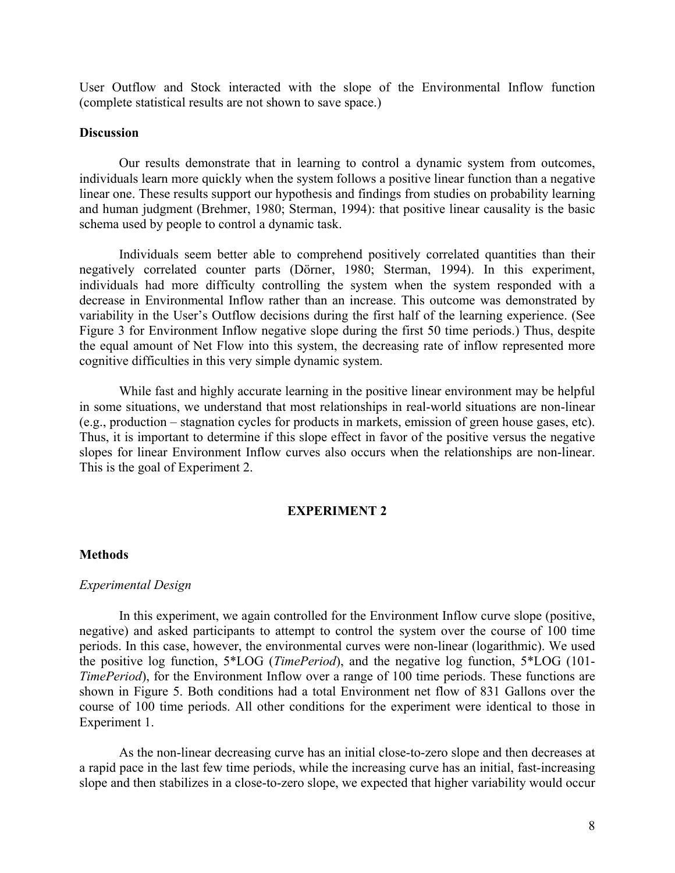User Outflow and Stock interacted with the slope of the Environmental Inflow function (complete statistical results are not shown to save space.)

# **Discussion**

Our results demonstrate that in learning to control a dynamic system from outcomes, individuals learn more quickly when the system follows a positive linear function than a negative linear one. These results support our hypothesis and findings from studies on probability learning and human judgment (Brehmer, 1980; Sterman, 1994): that positive linear causality is the basic schema used by people to control a dynamic task.

Individuals seem better able to comprehend positively correlated quantities than their negatively correlated counter parts (Dörner, 1980; Sterman, 1994). In this experiment, individuals had more difficulty controlling the system when the system responded with a decrease in Environmental Inflow rather than an increase. This outcome was demonstrated by variability in the User's Outflow decisions during the first half of the learning experience. (See Figure 3 for Environment Inflow negative slope during the first 50 time periods.) Thus, despite the equal amount of Net Flow into this system, the decreasing rate of inflow represented more cognitive difficulties in this very simple dynamic system.

While fast and highly accurate learning in the positive linear environment may be helpful in some situations, we understand that most relationships in real-world situations are non-linear (e.g., production – stagnation cycles for products in markets, emission of green house gases, etc). Thus, it is important to determine if this slope effect in favor of the positive versus the negative slopes for linear Environment Inflow curves also occurs when the relationships are non-linear. This is the goal of Experiment 2.

# **EXPERIMENT 2**

### **Methods**

#### *Experimental Design*

In this experiment, we again controlled for the Environment Inflow curve slope (positive, negative) and asked participants to attempt to control the system over the course of 100 time periods. In this case, however, the environmental curves were non-linear (logarithmic). We used the positive log function, 5\*LOG (*TimePeriod*), and the negative log function, 5\*LOG (101- *TimePeriod*), for the Environment Inflow over a range of 100 time periods. These functions are shown in Figure 5. Both conditions had a total Environment net flow of 831 Gallons over the course of 100 time periods. All other conditions for the experiment were identical to those in Experiment 1.

As the non-linear decreasing curve has an initial close-to-zero slope and then decreases at a rapid pace in the last few time periods, while the increasing curve has an initial, fast-increasing slope and then stabilizes in a close-to-zero slope, we expected that higher variability would occur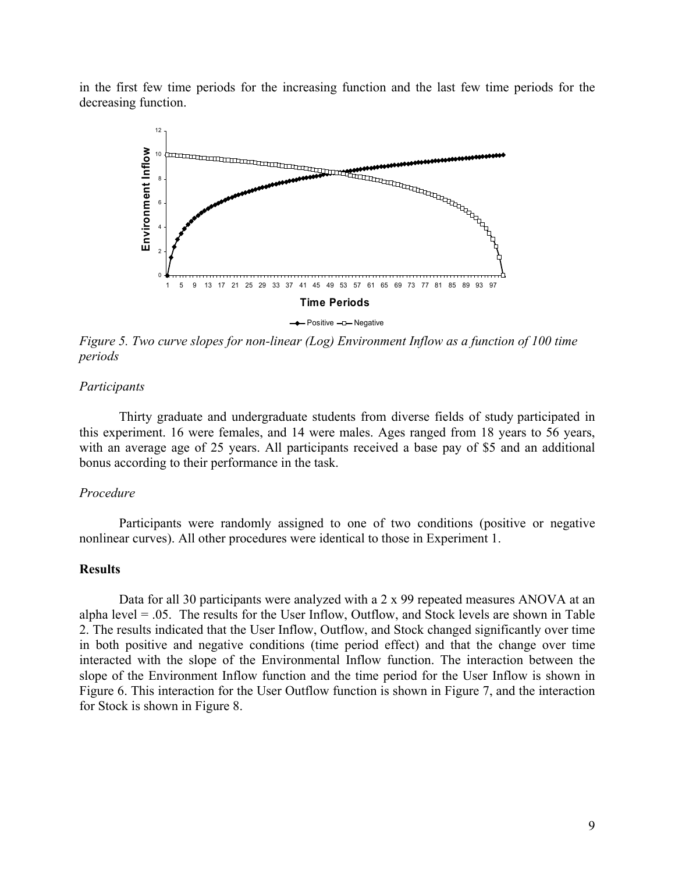in the first few time periods for the increasing function and the last few time periods for the decreasing function.



 $\rightarrow$  Positive  $-\square$  Negative

*Figure 5. Two curve slopes for non-linear (Log) Environment Inflow as a function of 100 time periods* 

### *Participants*

Thirty graduate and undergraduate students from diverse fields of study participated in this experiment. 16 were females, and 14 were males. Ages ranged from 18 years to 56 years, with an average age of 25 years. All participants received a base pay of \$5 and an additional bonus according to their performance in the task.

# *Procedure*

Participants were randomly assigned to one of two conditions (positive or negative nonlinear curves). All other procedures were identical to those in Experiment 1.

### **Results**

Data for all 30 participants were analyzed with a 2 x 99 repeated measures ANOVA at an alpha level  $= .05$ . The results for the User Inflow, Outflow, and Stock levels are shown in Table 2. The results indicated that the User Inflow, Outflow, and Stock changed significantly over time in both positive and negative conditions (time period effect) and that the change over time interacted with the slope of the Environmental Inflow function. The interaction between the slope of the Environment Inflow function and the time period for the User Inflow is shown in Figure 6. This interaction for the User Outflow function is shown in Figure 7, and the interaction for Stock is shown in Figure 8.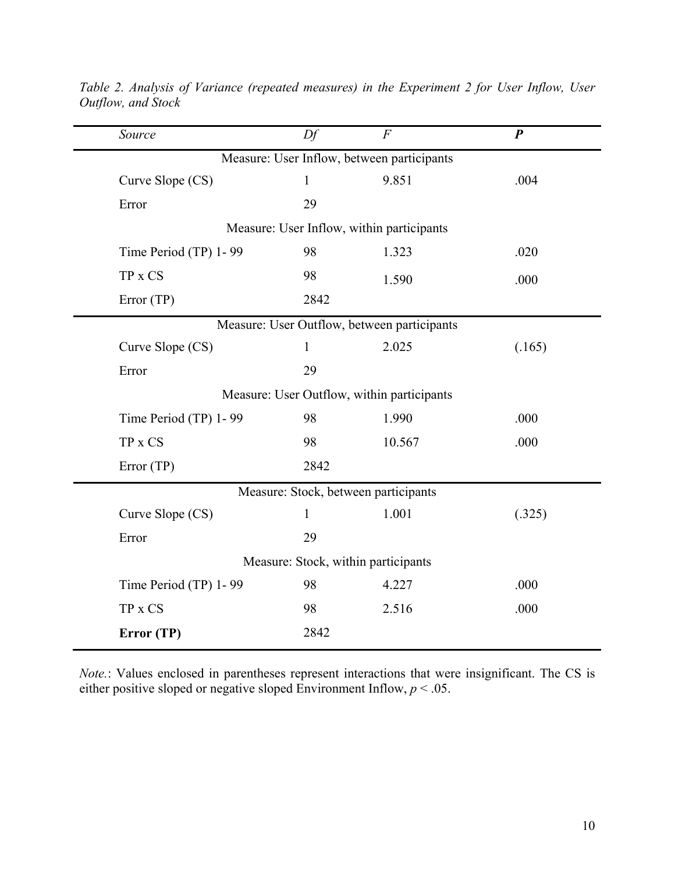| Source                                     | Df           | $\boldsymbol{F}$                            | $\boldsymbol{P}$ |  |  |  |  |  |  |
|--------------------------------------------|--------------|---------------------------------------------|------------------|--|--|--|--|--|--|
| Measure: User Inflow, between participants |              |                                             |                  |  |  |  |  |  |  |
| Curve Slope (CS)                           | $\mathbf{1}$ | 9.851                                       | .004             |  |  |  |  |  |  |
| Error                                      | 29           |                                             |                  |  |  |  |  |  |  |
| Measure: User Inflow, within participants  |              |                                             |                  |  |  |  |  |  |  |
| Time Period (TP) 1-99                      | 98           | 1.323                                       | .020             |  |  |  |  |  |  |
| TP x CS                                    | 98           | 1.590                                       | .000             |  |  |  |  |  |  |
| Error (TP)                                 | 2842         |                                             |                  |  |  |  |  |  |  |
|                                            |              | Measure: User Outflow, between participants |                  |  |  |  |  |  |  |
| Curve Slope (CS)                           | $\mathbf{1}$ | 2.025                                       | (.165)           |  |  |  |  |  |  |
| Error                                      | 29           |                                             |                  |  |  |  |  |  |  |
| Measure: User Outflow, within participants |              |                                             |                  |  |  |  |  |  |  |
| Time Period (TP) 1-99                      | 98           | 1.990                                       | .000             |  |  |  |  |  |  |
| TP x CS                                    | 98           | 10.567                                      | .000             |  |  |  |  |  |  |
| Error (TP)                                 | 2842         |                                             |                  |  |  |  |  |  |  |
| Measure: Stock, between participants       |              |                                             |                  |  |  |  |  |  |  |
| Curve Slope (CS)                           | $\mathbf{1}$ | 1.001                                       | (.325)           |  |  |  |  |  |  |
| Error                                      | 29           |                                             |                  |  |  |  |  |  |  |
| Measure: Stock, within participants        |              |                                             |                  |  |  |  |  |  |  |
| Time Period (TP) 1-99                      | 98           | 4.227                                       | .000             |  |  |  |  |  |  |
| TP x CS                                    | 98           | 2.516                                       | .000             |  |  |  |  |  |  |
| Error (TP)                                 | 2842         |                                             |                  |  |  |  |  |  |  |

*Table 2. Analysis of Variance (repeated measures) in the Experiment 2 for User Inflow, User Outflow, and Stock* 

*Note.*: Values enclosed in parentheses represent interactions that were insignificant. The CS is either positive sloped or negative sloped Environment Inflow,  $p < 0.05$ .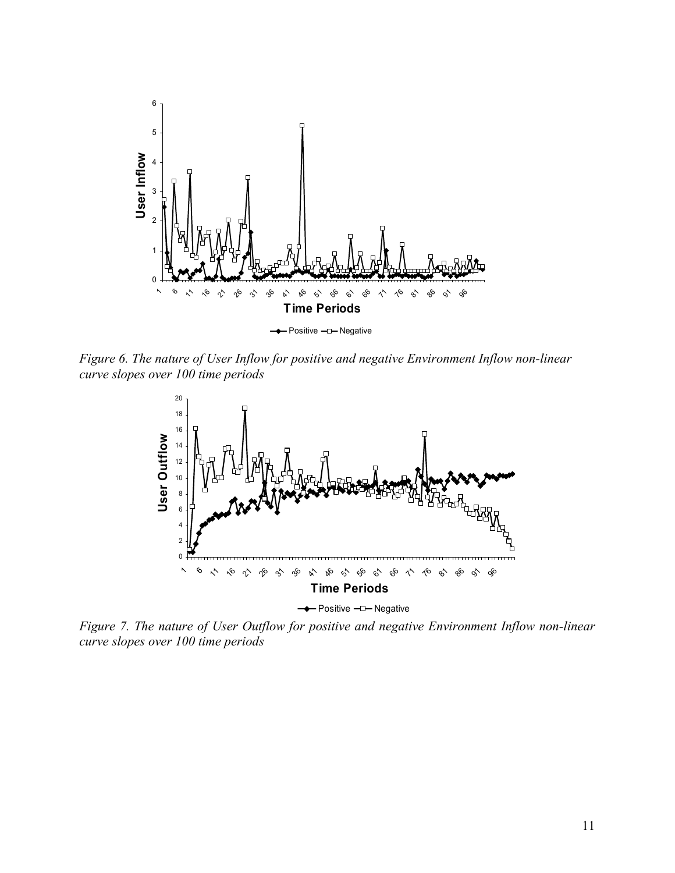

*Figure 6. The nature of User Inflow for positive and negative Environment Inflow non-linear curve slopes over 100 time periods* 



*Figure 7. The nature of User Outflow for positive and negative Environment Inflow non-linear curve slopes over 100 time periods*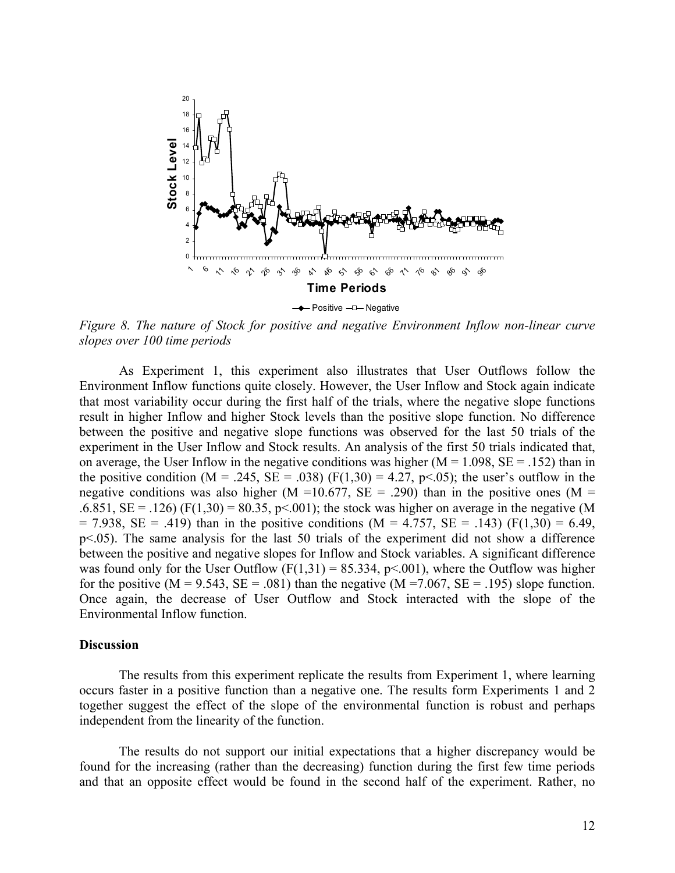

- Positive - D-Negative

*Figure 8. The nature of Stock for positive and negative Environment Inflow non-linear curve slopes over 100 time periods* 

As Experiment 1, this experiment also illustrates that User Outflows follow the Environment Inflow functions quite closely. However, the User Inflow and Stock again indicate that most variability occur during the first half of the trials, where the negative slope functions result in higher Inflow and higher Stock levels than the positive slope function. No difference between the positive and negative slope functions was observed for the last 50 trials of the experiment in the User Inflow and Stock results. An analysis of the first 50 trials indicated that, on average, the User Inflow in the negative conditions was higher  $(M = 1.098, SE = .152)$  than in the positive condition (M = .245, SE = .038) (F(1,30) = 4.27, p<.05); the user's outflow in the negative conditions was also higher (M =10.677, SE = .290) than in the positive ones (M = .6.851, SE = .126) (F(1,30) = 80.35, p<.001); the stock was higher on average in the negative (M  $= 7.938$ , SE = .419) than in the positive conditions (M = 4.757, SE = .143) (F(1,30) = 6.49, p<.05). The same analysis for the last 50 trials of the experiment did not show a difference between the positive and negative slopes for Inflow and Stock variables. A significant difference was found only for the User Outflow  $(F(1,31) = 85.334, p \le 0.001)$ , where the Outflow was higher for the positive (M = 9.543, SE = .081) than the negative (M = 7.067, SE = .195) slope function. Once again, the decrease of User Outflow and Stock interacted with the slope of the Environmental Inflow function.

#### **Discussion**

The results from this experiment replicate the results from Experiment 1, where learning occurs faster in a positive function than a negative one. The results form Experiments 1 and 2 together suggest the effect of the slope of the environmental function is robust and perhaps independent from the linearity of the function.

The results do not support our initial expectations that a higher discrepancy would be found for the increasing (rather than the decreasing) function during the first few time periods and that an opposite effect would be found in the second half of the experiment. Rather, no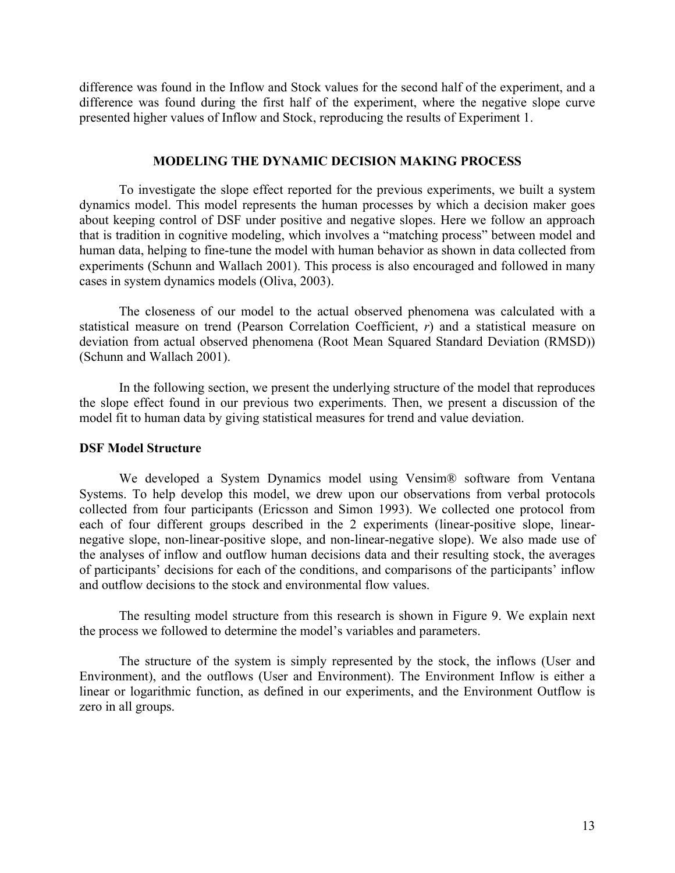difference was found in the Inflow and Stock values for the second half of the experiment, and a difference was found during the first half of the experiment, where the negative slope curve presented higher values of Inflow and Stock, reproducing the results of Experiment 1.

### **MODELING THE DYNAMIC DECISION MAKING PROCESS**

To investigate the slope effect reported for the previous experiments, we built a system dynamics model. This model represents the human processes by which a decision maker goes about keeping control of DSF under positive and negative slopes. Here we follow an approach that is tradition in cognitive modeling, which involves a "matching process" between model and human data, helping to fine-tune the model with human behavior as shown in data collected from experiments (Schunn and Wallach 2001). This process is also encouraged and followed in many cases in system dynamics models (Oliva, 2003).

The closeness of our model to the actual observed phenomena was calculated with a statistical measure on trend (Pearson Correlation Coefficient, *r*) and a statistical measure on deviation from actual observed phenomena (Root Mean Squared Standard Deviation (RMSD)) (Schunn and Wallach 2001).

In the following section, we present the underlying structure of the model that reproduces the slope effect found in our previous two experiments. Then, we present a discussion of the model fit to human data by giving statistical measures for trend and value deviation.

### **DSF Model Structure**

We developed a System Dynamics model using Vensim® software from Ventana Systems. To help develop this model, we drew upon our observations from verbal protocols collected from four participants (Ericsson and Simon 1993). We collected one protocol from each of four different groups described in the 2 experiments (linear-positive slope, linearnegative slope, non-linear-positive slope, and non-linear-negative slope). We also made use of the analyses of inflow and outflow human decisions data and their resulting stock, the averages of participants' decisions for each of the conditions, and comparisons of the participants' inflow and outflow decisions to the stock and environmental flow values.

The resulting model structure from this research is shown in Figure 9. We explain next the process we followed to determine the model's variables and parameters.

The structure of the system is simply represented by the stock, the inflows (User and Environment), and the outflows (User and Environment). The Environment Inflow is either a linear or logarithmic function, as defined in our experiments, and the Environment Outflow is zero in all groups.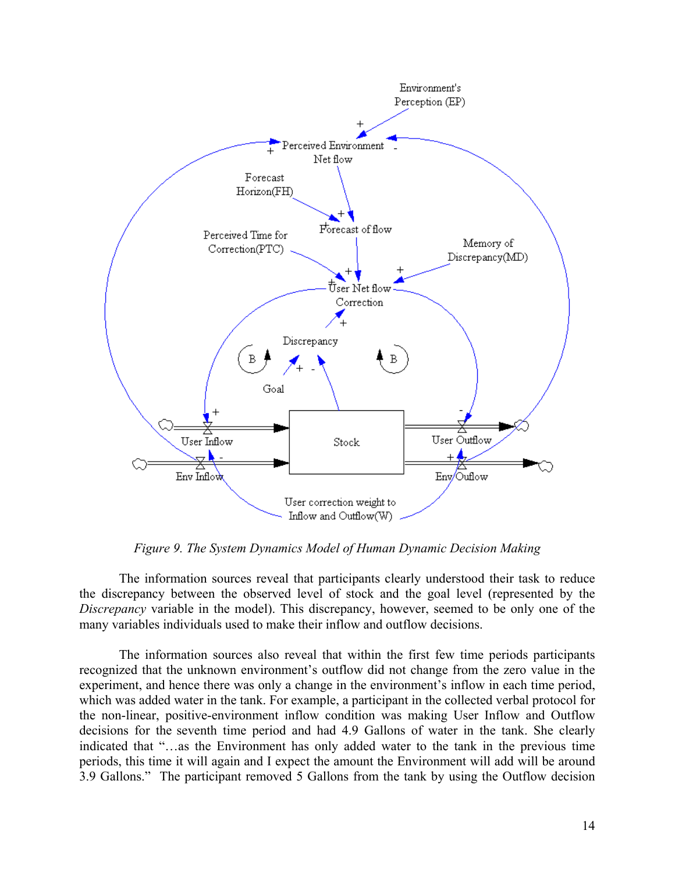

*Figure 9. The System Dynamics Model of Human Dynamic Decision Making* 

The information sources reveal that participants clearly understood their task to reduce the discrepancy between the observed level of stock and the goal level (represented by the *Discrepancy* variable in the model). This discrepancy, however, seemed to be only one of the many variables individuals used to make their inflow and outflow decisions.

The information sources also reveal that within the first few time periods participants recognized that the unknown environment's outflow did not change from the zero value in the experiment, and hence there was only a change in the environment's inflow in each time period, which was added water in the tank. For example, a participant in the collected verbal protocol for the non-linear, positive-environment inflow condition was making User Inflow and Outflow decisions for the seventh time period and had 4.9 Gallons of water in the tank. She clearly indicated that "…as the Environment has only added water to the tank in the previous time periods, this time it will again and I expect the amount the Environment will add will be around 3.9 Gallons." The participant removed 5 Gallons from the tank by using the Outflow decision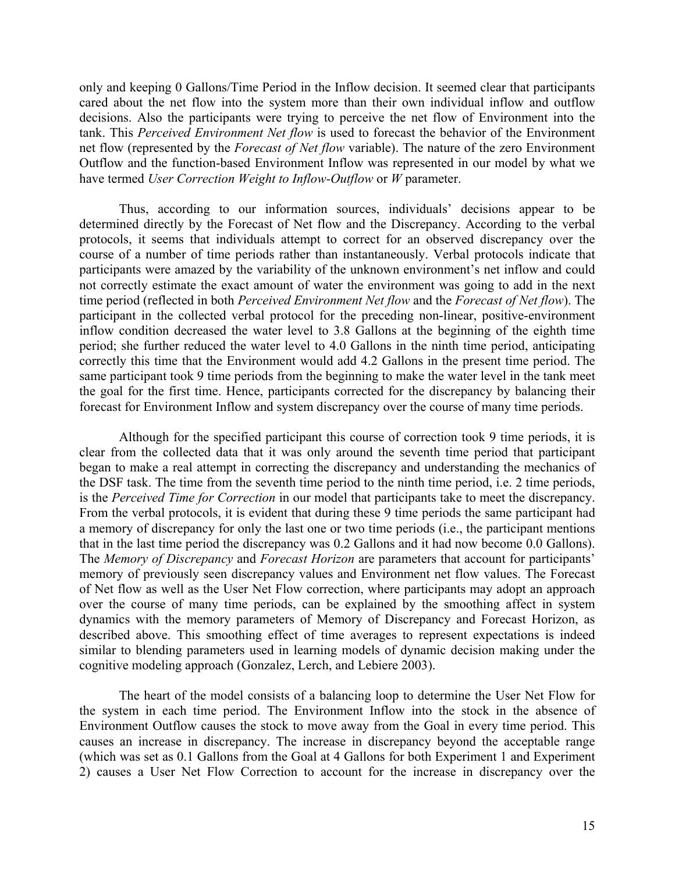only and keeping 0 Gallons/Time Period in the Inflow decision. It seemed clear that participants cared about the net flow into the system more than their own individual inflow and outflow decisions. Also the participants were trying to perceive the net flow of Environment into the tank. This *Perceived Environment Net flow* is used to forecast the behavior of the Environment net flow (represented by the *Forecast of Net flow* variable). The nature of the zero Environment Outflow and the function-based Environment Inflow was represented in our model by what we have termed *User Correction Weight to Inflow-Outflow* or *W* parameter.

Thus, according to our information sources, individuals' decisions appear to be determined directly by the Forecast of Net flow and the Discrepancy. According to the verbal protocols, it seems that individuals attempt to correct for an observed discrepancy over the course of a number of time periods rather than instantaneously. Verbal protocols indicate that participants were amazed by the variability of the unknown environment's net inflow and could not correctly estimate the exact amount of water the environment was going to add in the next time period (reflected in both *Perceived Environment Net flow* and the *Forecast of Net flow*). The participant in the collected verbal protocol for the preceding non-linear, positive-environment inflow condition decreased the water level to 3.8 Gallons at the beginning of the eighth time period; she further reduced the water level to 4.0 Gallons in the ninth time period, anticipating correctly this time that the Environment would add 4.2 Gallons in the present time period. The same participant took 9 time periods from the beginning to make the water level in the tank meet the goal for the first time. Hence, participants corrected for the discrepancy by balancing their forecast for Environment Inflow and system discrepancy over the course of many time periods.

Although for the specified participant this course of correction took 9 time periods, it is clear from the collected data that it was only around the seventh time period that participant began to make a real attempt in correcting the discrepancy and understanding the mechanics of the DSF task. The time from the seventh time period to the ninth time period, i.e. 2 time periods, is the *Perceived Time for Correction* in our model that participants take to meet the discrepancy. From the verbal protocols, it is evident that during these 9 time periods the same participant had a memory of discrepancy for only the last one or two time periods (i.e., the participant mentions that in the last time period the discrepancy was 0.2 Gallons and it had now become 0.0 Gallons). The *Memory of Discrepancy* and *Forecast Horizon* are parameters that account for participants' memory of previously seen discrepancy values and Environment net flow values. The Forecast of Net flow as well as the User Net Flow correction, where participants may adopt an approach over the course of many time periods, can be explained by the smoothing affect in system dynamics with the memory parameters of Memory of Discrepancy and Forecast Horizon, as described above. This smoothing effect of time averages to represent expectations is indeed similar to blending parameters used in learning models of dynamic decision making under the cognitive modeling approach (Gonzalez, Lerch, and Lebiere 2003).

The heart of the model consists of a balancing loop to determine the User Net Flow for the system in each time period. The Environment Inflow into the stock in the absence of Environment Outflow causes the stock to move away from the Goal in every time period. This causes an increase in discrepancy. The increase in discrepancy beyond the acceptable range (which was set as 0.1 Gallons from the Goal at 4 Gallons for both Experiment 1 and Experiment 2) causes a User Net Flow Correction to account for the increase in discrepancy over the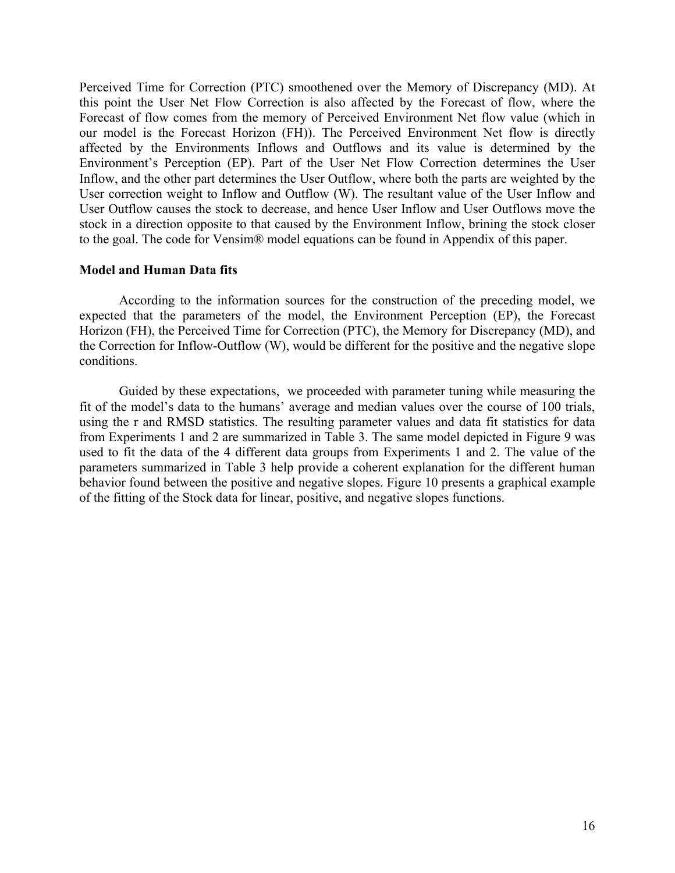Perceived Time for Correction (PTC) smoothened over the Memory of Discrepancy (MD). At this point the User Net Flow Correction is also affected by the Forecast of flow, where the Forecast of flow comes from the memory of Perceived Environment Net flow value (which in our model is the Forecast Horizon (FH)). The Perceived Environment Net flow is directly affected by the Environments Inflows and Outflows and its value is determined by the Environment's Perception (EP). Part of the User Net Flow Correction determines the User Inflow, and the other part determines the User Outflow, where both the parts are weighted by the User correction weight to Inflow and Outflow (W). The resultant value of the User Inflow and User Outflow causes the stock to decrease, and hence User Inflow and User Outflows move the stock in a direction opposite to that caused by the Environment Inflow, brining the stock closer to the goal. The code for Vensim® model equations can be found in Appendix of this paper.

# **Model and Human Data fits**

According to the information sources for the construction of the preceding model, we expected that the parameters of the model, the Environment Perception (EP), the Forecast Horizon (FH), the Perceived Time for Correction (PTC), the Memory for Discrepancy (MD), and the Correction for Inflow-Outflow (W), would be different for the positive and the negative slope conditions.

Guided by these expectations, we proceeded with parameter tuning while measuring the fit of the model's data to the humans' average and median values over the course of 100 trials, using the r and RMSD statistics. The resulting parameter values and data fit statistics for data from Experiments 1 and 2 are summarized in Table 3. The same model depicted in Figure 9 was used to fit the data of the 4 different data groups from Experiments 1 and 2. The value of the parameters summarized in Table 3 help provide a coherent explanation for the different human behavior found between the positive and negative slopes. Figure 10 presents a graphical example of the fitting of the Stock data for linear, positive, and negative slopes functions.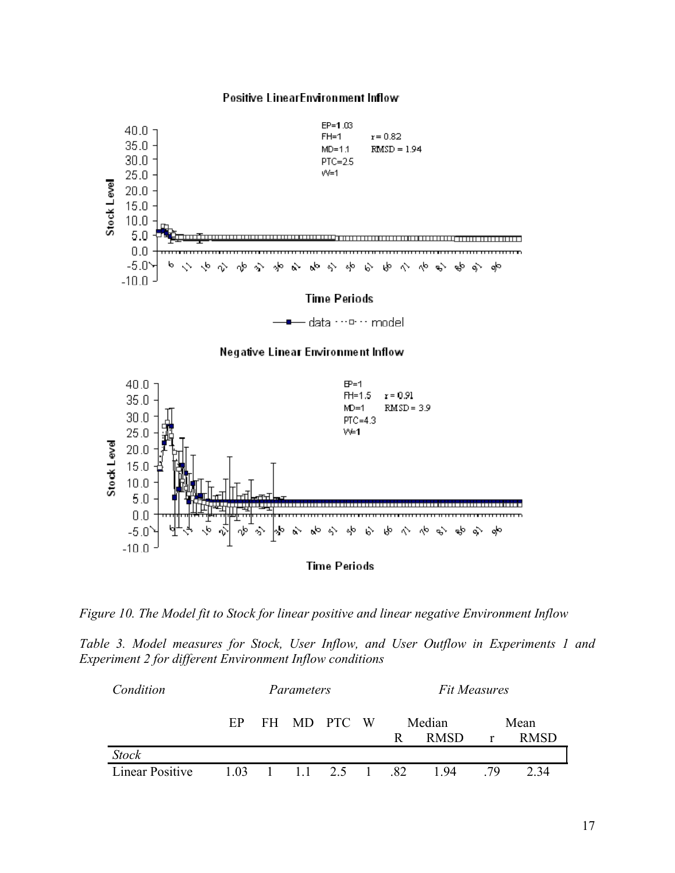

*Figure 10. The Model fit to Stock for linear positive and linear negative Environment Inflow* 

*Table 3. Model measures for Stock, User Inflow, and User Outflow in Experiments 1 and Experiment 2 for different Environment Inflow conditions* 

| Condition              | Parameters |  |  |                                            | <b>Fit Measures</b> |      |             |              |             |
|------------------------|------------|--|--|--------------------------------------------|---------------------|------|-------------|--------------|-------------|
|                        | EP         |  |  | FH MD PTC W                                |                     |      | Median      |              | Mean        |
|                        |            |  |  |                                            |                     | R    | <b>RMSD</b> | $\mathbf{r}$ | <b>RMSD</b> |
| <b>Stock</b>           |            |  |  |                                            |                     |      |             |              |             |
| <b>Linear Positive</b> |            |  |  | $1.03 \quad 1 \quad 1.1 \quad 2.5 \quad 1$ |                     | - 82 | 194         | 79           | 2.34        |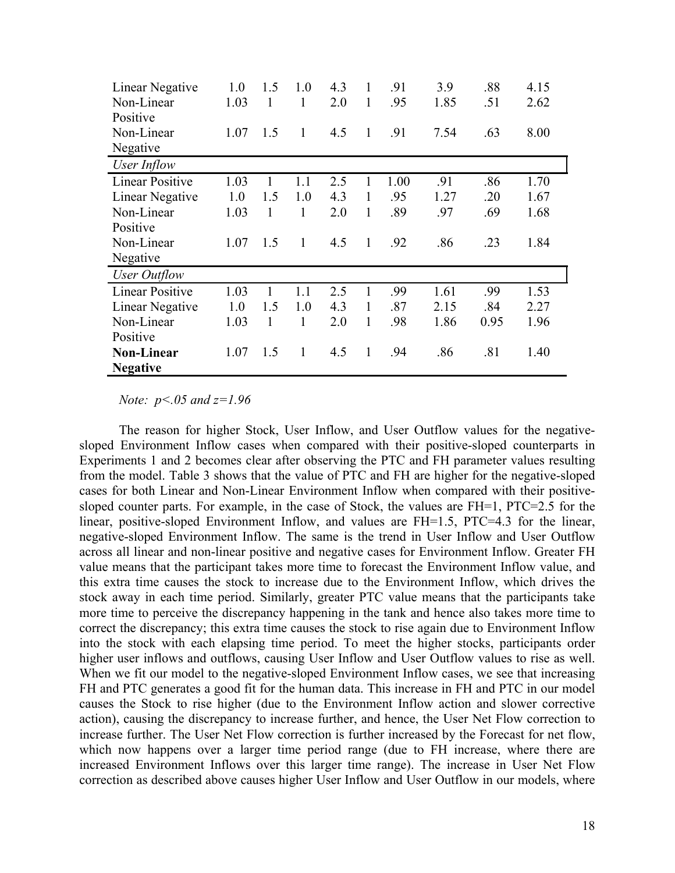| Linear Negative        | 1.0  | 1.5 | 1.0          | 4.3 | 1            | .91  | 3.9  | .88  | 4.15 |
|------------------------|------|-----|--------------|-----|--------------|------|------|------|------|
| Non-Linear             | 1.03 | 1   | 1            | 2.0 | 1            | .95  | 1.85 | .51  | 2.62 |
| Positive               |      |     |              |     |              |      |      |      |      |
| Non-Linear             | 1.07 | 1.5 | 1            | 4.5 | $\mathbf{1}$ | .91  | 7.54 | .63  | 8.00 |
| Negative               |      |     |              |     |              |      |      |      |      |
| User Inflow            |      |     |              |     |              |      |      |      |      |
| <b>Linear Positive</b> | 1.03 | 1   | 1.1          | 2.5 | 1            | 1.00 | .91  | .86  | 1.70 |
| Linear Negative        | 1.0  | 1.5 | 1.0          | 4.3 | 1            | .95  | 1.27 | .20  | 1.67 |
| Non-Linear             | 1.03 | 1   | 1            | 2.0 | 1            | .89  | .97  | .69  | 1.68 |
| Positive               |      |     |              |     |              |      |      |      |      |
| Non-Linear             | 1.07 | 1.5 | $\mathbf{1}$ | 4.5 | $\mathbf{1}$ | .92  | .86  | .23  | 1.84 |
| Negative               |      |     |              |     |              |      |      |      |      |
| User Outflow           |      |     |              |     |              |      |      |      |      |
| <b>Linear Positive</b> | 1.03 | 1   | 1.1          | 2.5 | $\mathbf{1}$ | .99  | 1.61 | .99  | 1.53 |
| Linear Negative        | 1.0  | 1.5 | 1.0          | 4.3 | 1            | .87  | 2.15 | .84  | 2.27 |
| Non-Linear             | 1.03 | 1   | 1            | 2.0 | 1            | .98  | 1.86 | 0.95 | 1.96 |
| Positive               |      |     |              |     |              |      |      |      |      |
| <b>Non-Linear</b>      | 1.07 | 1.5 | 1            | 4.5 | 1            | .94  | .86  | .81  | 1.40 |
| <b>Negative</b>        |      |     |              |     |              |      |      |      |      |

*Note: p<.05 and z=1.96* 

The reason for higher Stock, User Inflow, and User Outflow values for the negativesloped Environment Inflow cases when compared with their positive-sloped counterparts in Experiments 1 and 2 becomes clear after observing the PTC and FH parameter values resulting from the model. Table 3 shows that the value of PTC and FH are higher for the negative-sloped cases for both Linear and Non-Linear Environment Inflow when compared with their positivesloped counter parts. For example, in the case of Stock, the values are FH=1, PTC=2.5 for the linear, positive-sloped Environment Inflow, and values are FH=1.5, PTC=4.3 for the linear, negative-sloped Environment Inflow. The same is the trend in User Inflow and User Outflow across all linear and non-linear positive and negative cases for Environment Inflow. Greater FH value means that the participant takes more time to forecast the Environment Inflow value, and this extra time causes the stock to increase due to the Environment Inflow, which drives the stock away in each time period. Similarly, greater PTC value means that the participants take more time to perceive the discrepancy happening in the tank and hence also takes more time to correct the discrepancy; this extra time causes the stock to rise again due to Environment Inflow into the stock with each elapsing time period. To meet the higher stocks, participants order higher user inflows and outflows, causing User Inflow and User Outflow values to rise as well. When we fit our model to the negative-sloped Environment Inflow cases, we see that increasing FH and PTC generates a good fit for the human data. This increase in FH and PTC in our model causes the Stock to rise higher (due to the Environment Inflow action and slower corrective action), causing the discrepancy to increase further, and hence, the User Net Flow correction to increase further. The User Net Flow correction is further increased by the Forecast for net flow, which now happens over a larger time period range (due to FH increase, where there are increased Environment Inflows over this larger time range). The increase in User Net Flow correction as described above causes higher User Inflow and User Outflow in our models, where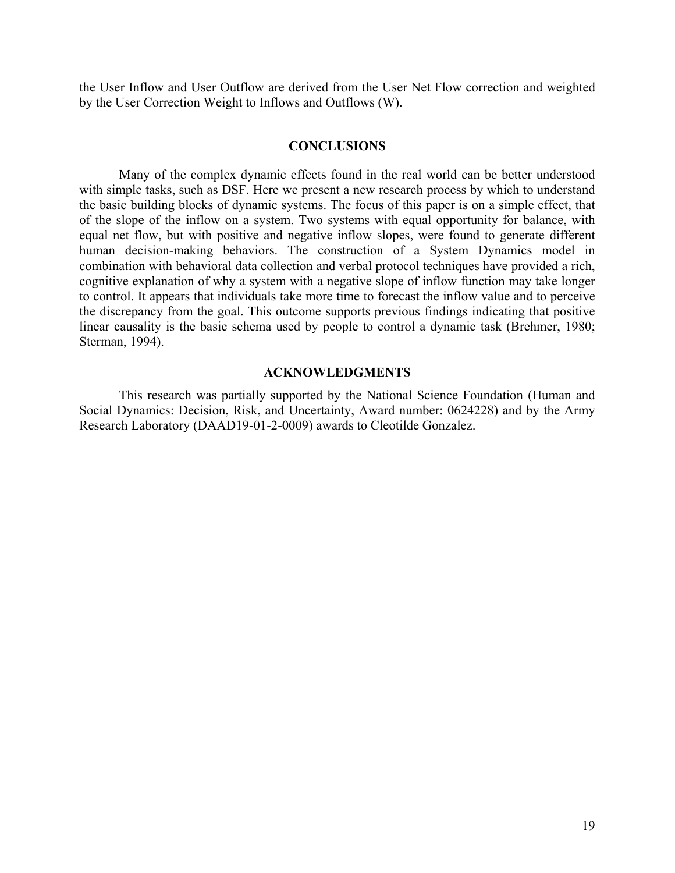the User Inflow and User Outflow are derived from the User Net Flow correction and weighted by the User Correction Weight to Inflows and Outflows (W).

# **CONCLUSIONS**

Many of the complex dynamic effects found in the real world can be better understood with simple tasks, such as DSF. Here we present a new research process by which to understand the basic building blocks of dynamic systems. The focus of this paper is on a simple effect, that of the slope of the inflow on a system. Two systems with equal opportunity for balance, with equal net flow, but with positive and negative inflow slopes, were found to generate different human decision-making behaviors. The construction of a System Dynamics model in combination with behavioral data collection and verbal protocol techniques have provided a rich, cognitive explanation of why a system with a negative slope of inflow function may take longer to control. It appears that individuals take more time to forecast the inflow value and to perceive the discrepancy from the goal. This outcome supports previous findings indicating that positive linear causality is the basic schema used by people to control a dynamic task (Brehmer, 1980; Sterman, 1994).

### **ACKNOWLEDGMENTS**

This research was partially supported by the National Science Foundation (Human and Social Dynamics: Decision, Risk, and Uncertainty, Award number: 0624228) and by the Army Research Laboratory (DAAD19-01-2-0009) awards to Cleotilde Gonzalez.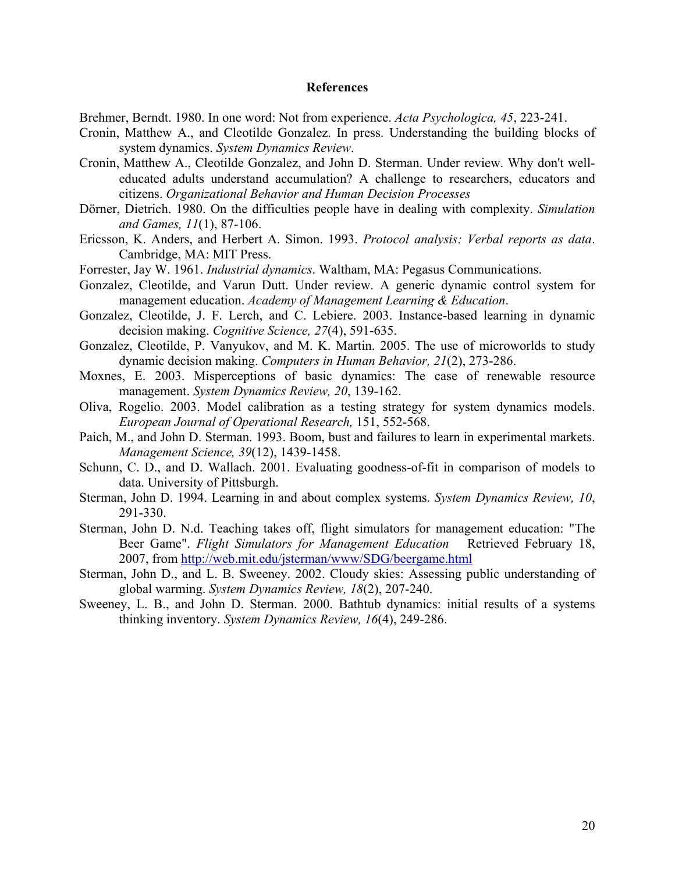### **References**

Brehmer, Berndt. 1980. In one word: Not from experience. *Acta Psychologica, 45*, 223-241.

- Cronin, Matthew A., and Cleotilde Gonzalez. In press. Understanding the building blocks of system dynamics. *System Dynamics Review*.
- Cronin, Matthew A., Cleotilde Gonzalez, and John D. Sterman. Under review. Why don't welleducated adults understand accumulation? A challenge to researchers, educators and citizens. *Organizational Behavior and Human Decision Processes*
- Dörner, Dietrich. 1980. On the difficulties people have in dealing with complexity. *Simulation and Games, 11*(1), 87-106.
- Ericsson, K. Anders, and Herbert A. Simon. 1993. *Protocol analysis: Verbal reports as data*. Cambridge, MA: MIT Press.
- Forrester, Jay W. 1961. *Industrial dynamics*. Waltham, MA: Pegasus Communications.
- Gonzalez, Cleotilde, and Varun Dutt. Under review. A generic dynamic control system for management education. *Academy of Management Learning & Education*.
- Gonzalez, Cleotilde, J. F. Lerch, and C. Lebiere. 2003. Instance-based learning in dynamic decision making. *Cognitive Science, 27*(4), 591-635.
- Gonzalez, Cleotilde, P. Vanyukov, and M. K. Martin. 2005. The use of microworlds to study dynamic decision making. *Computers in Human Behavior, 21*(2), 273-286.
- Moxnes, E. 2003. Misperceptions of basic dynamics: The case of renewable resource management. *System Dynamics Review, 20*, 139-162.
- Oliva, Rogelio. 2003. Model calibration as a testing strategy for system dynamics models. *European Journal of Operational Research,* 151, 552-568.
- Paich, M., and John D. Sterman. 1993. Boom, bust and failures to learn in experimental markets. *Management Science, 39*(12), 1439-1458.
- Schunn, C. D., and D. Wallach. 2001. Evaluating goodness-of-fit in comparison of models to data. University of Pittsburgh.
- Sterman, John D. 1994. Learning in and about complex systems. *System Dynamics Review, 10*, 291-330.
- Sterman, John D. N.d. Teaching takes off, flight simulators for management education: "The Beer Game". *Flight Simulators for Management Education* Retrieved February 18, 2007, from http://web.mit.edu/jsterman/www/SDG/beergame.html
- Sterman, John D., and L. B. Sweeney. 2002. Cloudy skies: Assessing public understanding of global warming. *System Dynamics Review, 18*(2), 207-240.
- Sweeney, L. B., and John D. Sterman. 2000. Bathtub dynamics: initial results of a systems thinking inventory. *System Dynamics Review, 16*(4), 249-286.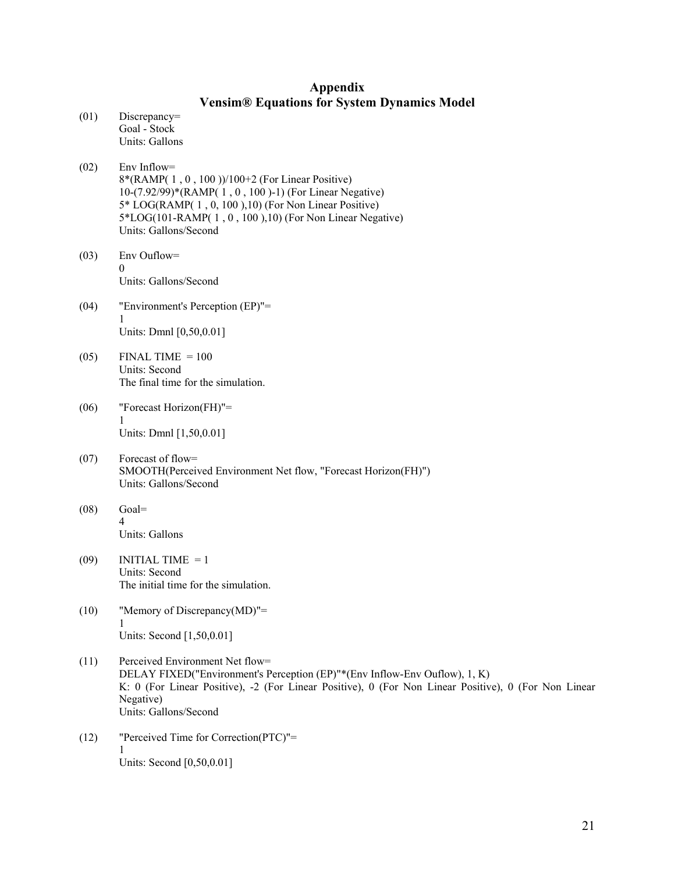# **Appendix Vensim® Equations for System Dynamics Model**

- (01) Discrepancy= Goal - Stock Units: Gallons
- (02) Env Inflow= 8\*(RAMP( 1 , 0 , 100 ))/100+2 (For Linear Positive) 10-(7.92/99)\*(RAMP( 1 , 0 , 100 )-1) (For Linear Negative) 5\* LOG(RAMP( 1 , 0, 100 ),10) (For Non Linear Positive) 5\*LOG(101-RAMP( 1 , 0 , 100 ),10) (For Non Linear Negative) Units: Gallons/Second
- (03) Env Ouflow= 0 Units: Gallons/Second
- (04) "Environment's Perception (EP)"= 1 Units: Dmnl [0,50,0.01]
- $(05)$  FINAL TIME = 100 Units: Second The final time for the simulation.
- (06) "Forecast Horizon(FH)"= 1 Units: Dmnl [1,50,0.01]
- (07) Forecast of flow= SMOOTH(Perceived Environment Net flow, "Forecast Horizon(FH)") Units: Gallons/Second
- $(08)$  Goal= 4 Units: Gallons
- $(09)$  INITIAL TIME = 1 Units: Second The initial time for the simulation.
- (10) "Memory of Discrepancy(MD)"= 1 Units: Second [1,50,0.01]
- (11) Perceived Environment Net flow= DELAY FIXED("Environment's Perception (EP)"\*(Env Inflow-Env Ouflow), 1, K) K: 0 (For Linear Positive), -2 (For Linear Positive), 0 (For Non Linear Positive), 0 (For Non Linear Negative) Units: Gallons/Second
- (12) "Perceived Time for Correction(PTC)"= 1 Units: Second [0,50,0.01]